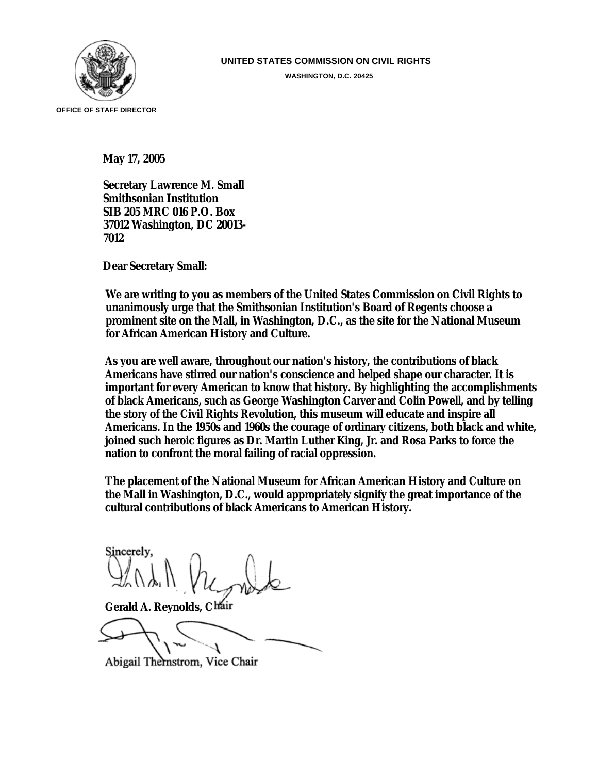

**WASHINGTON, D.C. 20425** 

**May 17, 2005** 

**Secretary Lawrence M. Small Smithsonian Institution SIB 205 MRC 016 P.O. Box 37012 Washington, DC 20013- 7012** 

**Dear Secretary Small:** 

**We are writing to you as members of the United States Commission on Civil Rights to unanimously urge that the Smithsonian Institution's Board of Regents choose a prominent site on the Mall, in Washington, D.C., as the site for the National Museum for African American History and Culture.** 

**As you are well aware, throughout our nation's history, the contributions of black Americans have stirred our nation's conscience and helped shape our character. It is important for every American to know that history. By highlighting the accomplishments of black Americans, such as George Washington Carver and Colin Powell, and by telling the story of the Civil Rights Revolution, this museum will educate and inspire all Americans. In the 1950s and 1960s the courage of ordinary citizens, both black and white, joined such heroic figures as Dr. Martin Luther King, Jr. and Rosa Parks to force the nation to confront the moral failing of racial oppression.** 

**The placement of the National Museum for African American History and Culture on the Mall in Washington, D.C., would appropriately signify the great importance of the cultural contributions of black Americans to American History.** 

Sincerely.

**Gerald A. Reynolds, C** 

Abigail Thernstrom, Vice Chair